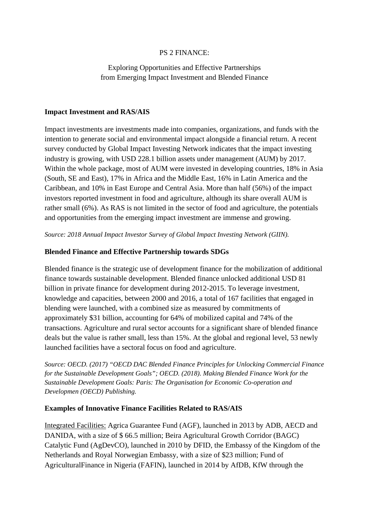## PS 2 FINANCE:

Exploring Opportunities and Effective Partnerships from Emerging Impact Investment and Blended Finance

## **Impact Investment and RAS/AIS**

Impact investments are investments made into companies, organizations, and funds with the intention to generate social and environmental impact alongside a financial return. A recent survey conducted by Global Impact Investing Network indicates that the impact investing industry is growing, with USD 228.1 billion assets under management (AUM) by 2017. Within the whole package, most of AUM were invested in developing countries, 18% in Asia (South, SE and East), 17% in Africa and the Middle East, 16% in Latin America and the Caribbean, and 10% in East Europe and Central Asia. More than half (56%) of the impact investors reported investment in food and agriculture, although its share overall AUM is rather small (6%). As RAS is not limited in the sector of food and agriculture, the potentials and opportunities from the emerging impact investment are immense and growing.

*Source: 2018 Annual Impact Investor Survey of Global Impact Investing Network (GIIN).* 

## **Blended Finance and Effective Partnership towards SDGs**

Blended finance is the strategic use of development finance for the mobilization of additional finance towards sustainable development. Blended finance unlocked additional USD 81 billion in private finance for development during 2012-2015. To leverage investment, knowledge and capacities, between 2000 and 2016, a total of 167 facilities that engaged in blending were launched, with a combined size as measured by commitments of approximately \$31 billion, accounting for 64% of mobilized capital and 74% of the transactions. Agriculture and rural sector accounts for a significant share of blended finance deals but the value is rather small, less than 15%. At the global and regional level, 53 newly launched facilities have a sectoral focus on food and agriculture.

*Source: OECD. (2017) "OECD DAC Blended Finance Principles for Unlocking Commercial Finance for the Sustainable Development Goals"; OECD. (2018). Making Blended Finance Work for the Sustainable Development Goals: Paris: The Organisation for Economic Co-operation and Developmen (OECD) Publishing.*

## **Examples of Innovative Finance Facilities Related to RAS/AIS**

Integrated Facilities: Agrica Guarantee Fund (AGF), launched in 2013 by ADB, AECD and DANIDA, with a size of \$ 66.5 million; Beira Agricultural Growth Corridor (BAGC) Catalytic Fund (AgDevCO), launched in 2010 by DFID, the Embassy of the Kingdom of the Netherlands and Royal Norwegian Embassy, with a size of \$23 million; Fund of AgriculturalFinance in Nigeria (FAFIN), launched in 2014 by AfDB, KfW through the